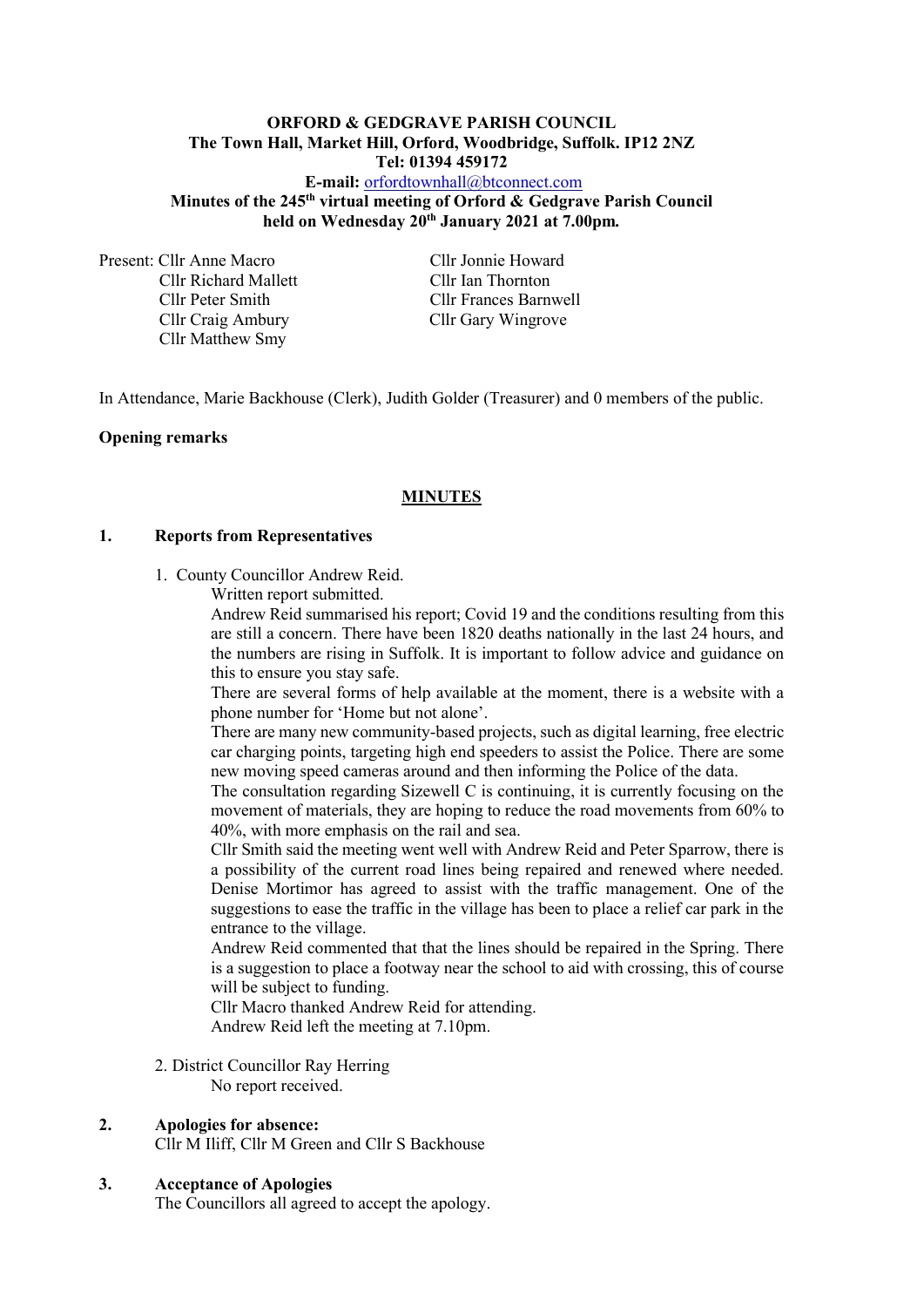## **ORFORD & GEDGRAVE PARISH COUNCIL The Town Hall, Market Hill, Orford, Woodbridge, Suffolk. IP12 2NZ Tel: 01394 459172**

**E-mail:** [orfordtownhall@btconnect.com](mailto:orfordtownhall@btconnect.com) **Minutes of the 245 th virtual meeting of Orford & Gedgrave Parish Council held on Wednesday 20th January 2021 at 7.00pm***.*

Present: Cllr Anne Macro Cllr Jonnie Howard Cllr Richard Mallett Cllr Ian Thornton Cllr Craig Ambury Cllr Gary Wingrove Cllr Matthew Smy

Cllr Peter Smith Cllr Frances Barnwell

In Attendance, Marie Backhouse (Clerk), Judith Golder (Treasurer) and 0 members of the public.

### **Opening remarks**

## **MINUTES**

#### **1. Reports from Representatives**

- 1. County Councillor Andrew Reid.
	- Written report submitted.

Andrew Reid summarised his report; Covid 19 and the conditions resulting from this are still a concern. There have been 1820 deaths nationally in the last 24 hours, and the numbers are rising in Suffolk. It is important to follow advice and guidance on this to ensure you stay safe.

There are several forms of help available at the moment, there is a website with a phone number for 'Home but not alone'.

There are many new community-based projects, such as digital learning, free electric car charging points, targeting high end speeders to assist the Police. There are some new moving speed cameras around and then informing the Police of the data.

The consultation regarding Sizewell C is continuing, it is currently focusing on the movement of materials, they are hoping to reduce the road movements from 60% to 40%, with more emphasis on the rail and sea.

Cllr Smith said the meeting went well with Andrew Reid and Peter Sparrow, there is a possibility of the current road lines being repaired and renewed where needed. Denise Mortimor has agreed to assist with the traffic management. One of the suggestions to ease the traffic in the village has been to place a relief car park in the entrance to the village.

Andrew Reid commented that that the lines should be repaired in the Spring. There is a suggestion to place a footway near the school to aid with crossing, this of course will be subject to funding.

Cllr Macro thanked Andrew Reid for attending. Andrew Reid left the meeting at 7.10pm.

2. District Councillor Ray Herring

No report received.

#### **2. Apologies for absence:**

Cllr M Iliff, Cllr M Green and Cllr S Backhouse

#### **3. Acceptance of Apologies**

The Councillors all agreed to accept the apology.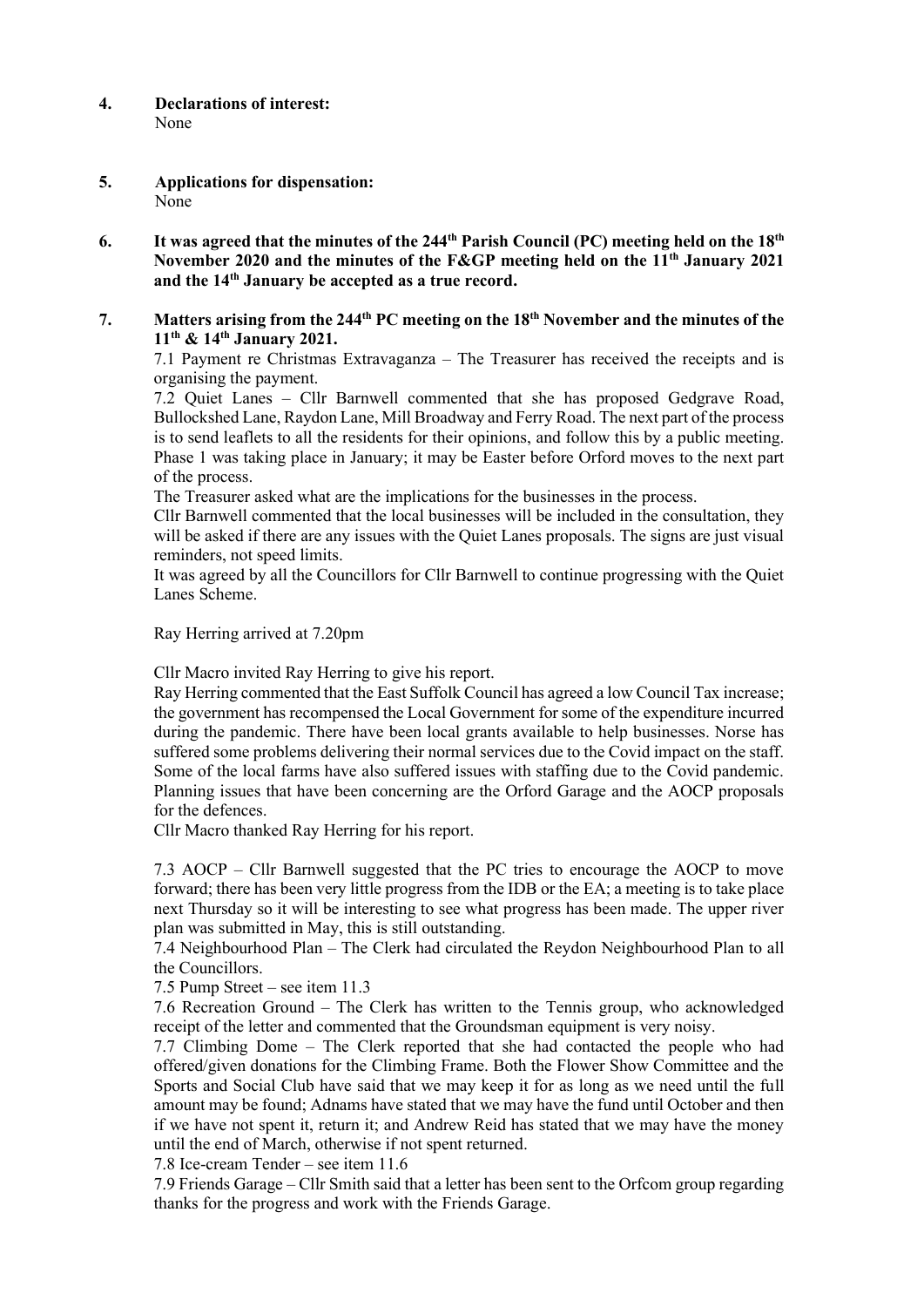- **4. Declarations of interest:** None
- **5. Applications for dispensation:** None
- **6. It was agreed that the minutes of the 244 th Parish Council (PC) meeting held on the 18th November 2020 and the minutes of the F&GP meeting held on the 11 th January 2021 and the 14th January be accepted as a true record.**
- **7. Matters arising from the 244 th PC meeting on the 18th November and the minutes of the 11th & 14th January 2021.**

7.1 Payment re Christmas Extravaganza – The Treasurer has received the receipts and is organising the payment.

7.2 Quiet Lanes – Cllr Barnwell commented that she has proposed Gedgrave Road, Bullockshed Lane, Raydon Lane, Mill Broadway and Ferry Road. The next part of the process is to send leaflets to all the residents for their opinions, and follow this by a public meeting. Phase 1 was taking place in January; it may be Easter before Orford moves to the next part of the process.

The Treasurer asked what are the implications for the businesses in the process.

Cllr Barnwell commented that the local businesses will be included in the consultation, they will be asked if there are any issues with the Quiet Lanes proposals. The signs are just visual reminders, not speed limits.

It was agreed by all the Councillors for Cllr Barnwell to continue progressing with the Quiet Lanes Scheme.

Ray Herring arrived at 7.20pm

Cllr Macro invited Ray Herring to give his report.

Ray Herring commented that the East Suffolk Council has agreed a low Council Tax increase; the government has recompensed the Local Government for some of the expenditure incurred during the pandemic. There have been local grants available to help businesses. Norse has suffered some problems delivering their normal services due to the Covid impact on the staff. Some of the local farms have also suffered issues with staffing due to the Covid pandemic. Planning issues that have been concerning are the Orford Garage and the AOCP proposals for the defences.

Cllr Macro thanked Ray Herring for his report.

7.3 AOCP – Cllr Barnwell suggested that the PC tries to encourage the AOCP to move forward; there has been very little progress from the IDB or the EA; a meeting is to take place next Thursday so it will be interesting to see what progress has been made. The upper river plan was submitted in May, this is still outstanding.

7.4 Neighbourhood Plan – The Clerk had circulated the Reydon Neighbourhood Plan to all the Councillors.

7.5 Pump Street – see item 11.3

7.6 Recreation Ground – The Clerk has written to the Tennis group, who acknowledged receipt of the letter and commented that the Groundsman equipment is very noisy.

7.7 Climbing Dome – The Clerk reported that she had contacted the people who had offered/given donations for the Climbing Frame. Both the Flower Show Committee and the Sports and Social Club have said that we may keep it for as long as we need until the full amount may be found; Adnams have stated that we may have the fund until October and then if we have not spent it, return it; and Andrew Reid has stated that we may have the money until the end of March, otherwise if not spent returned.

7.8 Ice-cream Tender – see item 11.6

7.9 Friends Garage – Cllr Smith said that a letter has been sent to the Orfcom group regarding thanks for the progress and work with the Friends Garage.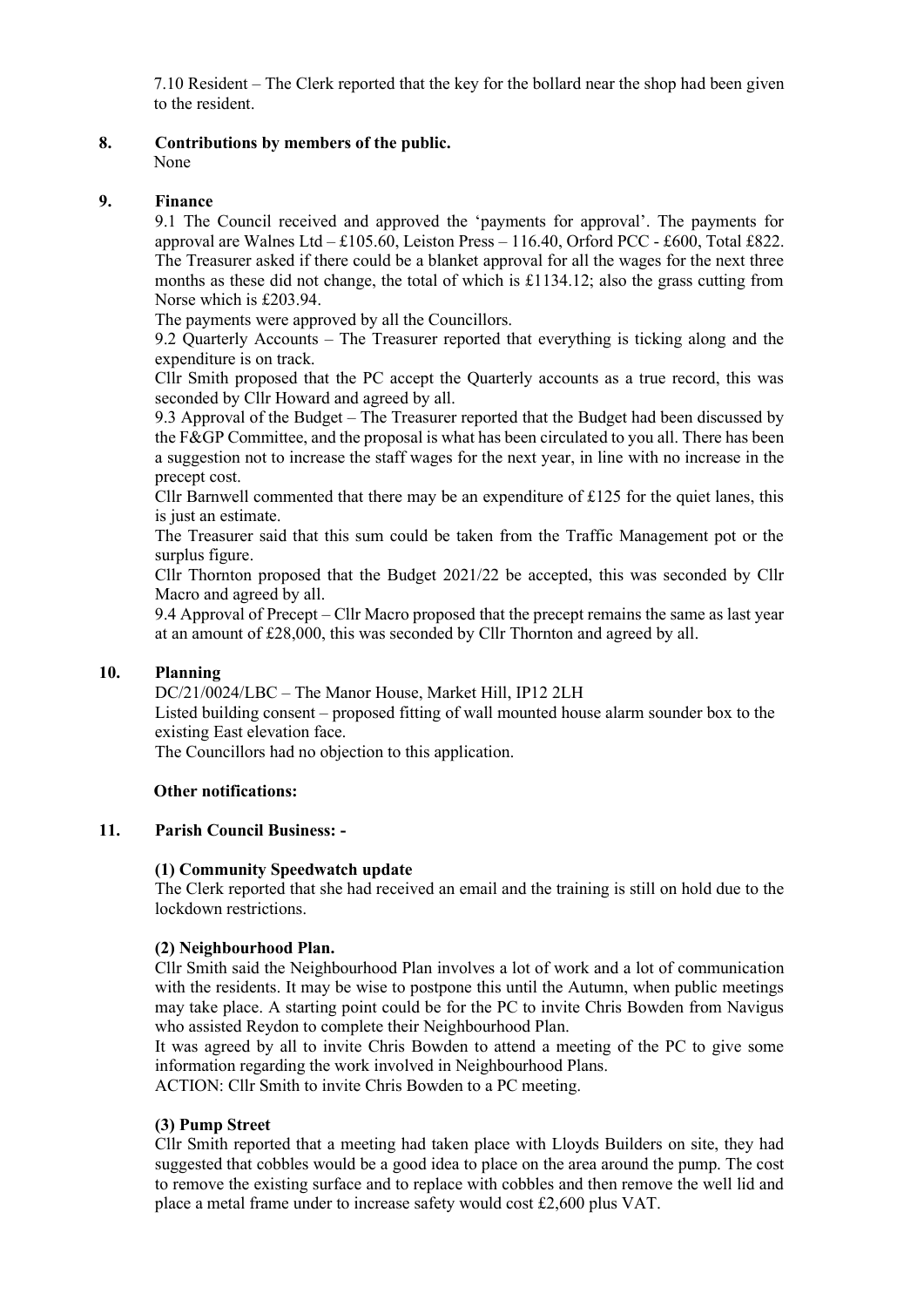7.10 Resident – The Clerk reported that the key for the bollard near the shop had been given to the resident.

**8. Contributions by members of the public.** None

## **9. Finance**

9.1 The Council received and approved the 'payments for approval'. The payments for approval are Walnes Ltd – £105.60, Leiston Press – 116.40, Orford PCC - £600, Total £822. The Treasurer asked if there could be a blanket approval for all the wages for the next three months as these did not change, the total of which is £1134.12; also the grass cutting from Norse which is £203.94.

The payments were approved by all the Councillors.

9.2 Quarterly Accounts – The Treasurer reported that everything is ticking along and the expenditure is on track.

Cllr Smith proposed that the PC accept the Quarterly accounts as a true record, this was seconded by Cllr Howard and agreed by all.

9.3 Approval of the Budget – The Treasurer reported that the Budget had been discussed by the F&GP Committee, and the proposal is what has been circulated to you all. There has been a suggestion not to increase the staff wages for the next year, in line with no increase in the precept cost.

Cllr Barnwell commented that there may be an expenditure of  $\pounds$ 125 for the quiet lanes, this is just an estimate.

The Treasurer said that this sum could be taken from the Traffic Management pot or the surplus figure.

Cllr Thornton proposed that the Budget 2021/22 be accepted, this was seconded by Cllr Macro and agreed by all.

9.4 Approval of Precept – Cllr Macro proposed that the precept remains the same as last year at an amount of £28,000, this was seconded by Cllr Thornton and agreed by all.

# **10. Planning**

DC/21/0024/LBC – The Manor House, Market Hill, IP12 2LH Listed building consent – proposed fitting of wall mounted house alarm sounder box to the existing East elevation face.

The Councillors had no objection to this application.

## **Other notifications:**

## **11. Parish Council Business: -**

## **(1) Community Speedwatch update**

The Clerk reported that she had received an email and the training is still on hold due to the lockdown restrictions.

## **(2) Neighbourhood Plan.**

Cllr Smith said the Neighbourhood Plan involves a lot of work and a lot of communication with the residents. It may be wise to postpone this until the Autumn, when public meetings may take place. A starting point could be for the PC to invite Chris Bowden from Navigus who assisted Reydon to complete their Neighbourhood Plan.

It was agreed by all to invite Chris Bowden to attend a meeting of the PC to give some information regarding the work involved in Neighbourhood Plans.

ACTION: Cllr Smith to invite Chris Bowden to a PC meeting.

## **(3) Pump Street**

Cllr Smith reported that a meeting had taken place with Lloyds Builders on site, they had suggested that cobbles would be a good idea to place on the area around the pump. The cost to remove the existing surface and to replace with cobbles and then remove the well lid and place a metal frame under to increase safety would cost £2,600 plus VAT.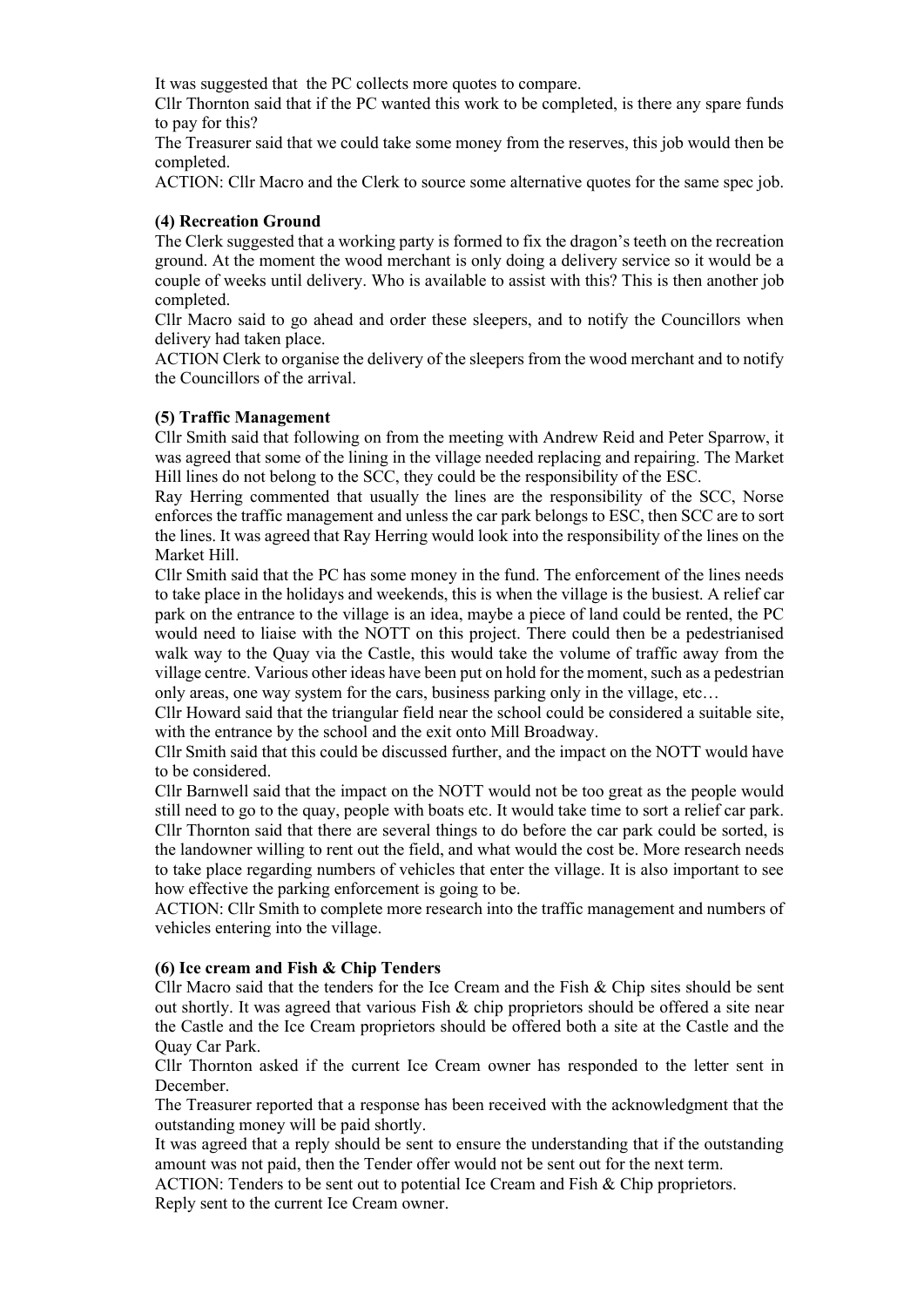It was suggested that the PC collects more quotes to compare.

Cllr Thornton said that if the PC wanted this work to be completed, is there any spare funds to pay for this?

The Treasurer said that we could take some money from the reserves, this job would then be completed.

ACTION: Cllr Macro and the Clerk to source some alternative quotes for the same spec job.

#### **(4) Recreation Ground**

The Clerk suggested that a working party is formed to fix the dragon's teeth on the recreation ground. At the moment the wood merchant is only doing a delivery service so it would be a couple of weeks until delivery. Who is available to assist with this? This is then another job completed.

Cllr Macro said to go ahead and order these sleepers, and to notify the Councillors when delivery had taken place.

ACTION Clerk to organise the delivery of the sleepers from the wood merchant and to notify the Councillors of the arrival.

#### **(5) Traffic Management**

Cllr Smith said that following on from the meeting with Andrew Reid and Peter Sparrow, it was agreed that some of the lining in the village needed replacing and repairing. The Market Hill lines do not belong to the SCC, they could be the responsibility of the ESC.

Ray Herring commented that usually the lines are the responsibility of the SCC, Norse enforces the traffic management and unless the car park belongs to ESC, then SCC are to sort the lines. It was agreed that Ray Herring would look into the responsibility of the lines on the Market Hill.

Cllr Smith said that the PC has some money in the fund. The enforcement of the lines needs to take place in the holidays and weekends, this is when the village is the busiest. A relief car park on the entrance to the village is an idea, maybe a piece of land could be rented, the PC would need to liaise with the NOTT on this project. There could then be a pedestrianised walk way to the Quay via the Castle, this would take the volume of traffic away from the village centre. Various other ideas have been put on hold for the moment, such as a pedestrian only areas, one way system for the cars, business parking only in the village, etc…

Cllr Howard said that the triangular field near the school could be considered a suitable site, with the entrance by the school and the exit onto Mill Broadway.

Cllr Smith said that this could be discussed further, and the impact on the NOTT would have to be considered.

Cllr Barnwell said that the impact on the NOTT would not be too great as the people would still need to go to the quay, people with boats etc. It would take time to sort a relief car park. Cllr Thornton said that there are several things to do before the car park could be sorted, is the landowner willing to rent out the field, and what would the cost be. More research needs to take place regarding numbers of vehicles that enter the village. It is also important to see how effective the parking enforcement is going to be.

ACTION: Cllr Smith to complete more research into the traffic management and numbers of vehicles entering into the village.

## **(6) Ice cream and Fish & Chip Tenders**

Cllr Macro said that the tenders for the Ice Cream and the Fish & Chip sites should be sent out shortly. It was agreed that various Fish & chip proprietors should be offered a site near the Castle and the Ice Cream proprietors should be offered both a site at the Castle and the Quay Car Park.

Cllr Thornton asked if the current Ice Cream owner has responded to the letter sent in December.

The Treasurer reported that a response has been received with the acknowledgment that the outstanding money will be paid shortly.

It was agreed that a reply should be sent to ensure the understanding that if the outstanding amount was not paid, then the Tender offer would not be sent out for the next term.

ACTION: Tenders to be sent out to potential Ice Cream and Fish & Chip proprietors. Reply sent to the current Ice Cream owner.